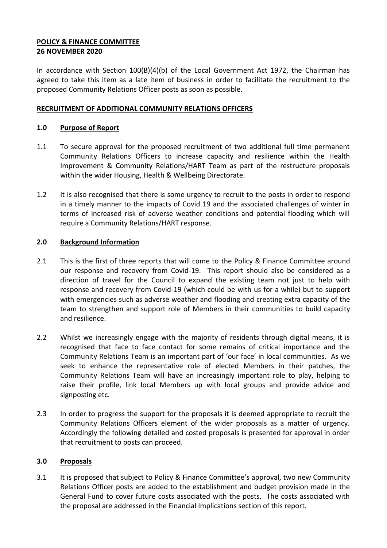## **POLICY & FINANCE COMMITTEE 26 NOVEMBER 2020**

In accordance with Section  $100(B)(4)(b)$  of the Local Government Act 1972, the Chairman has agreed to take this item as a late item of business in order to facilitate the recruitment to the proposed Community Relations Officer posts as soon as possible.

## **RECRUITMENT OF ADDITIONAL COMMUNITY RELATIONS OFFICERS**

## **1.0 Purpose of Report**

- 1.1 To secure approval for the proposed recruitment of two additional full time permanent Community Relations Officers to increase capacity and resilience within the Health Improvement & Community Relations/HART Team as part of the restructure proposals within the wider Housing, Health & Wellbeing Directorate.
- 1.2 It is also recognised that there is some urgency to recruit to the posts in order to respond in a timely manner to the impacts of Covid 19 and the associated challenges of winter in terms of increased risk of adverse weather conditions and potential flooding which will require a Community Relations/HART response.

## **2.0 Background Information**

- 2.1 This is the first of three reports that will come to the Policy & Finance Committee around our response and recovery from Covid-19. This report should also be considered as a direction of travel for the Council to expand the existing team not just to help with response and recovery from Covid-19 (which could be with us for a while) but to support with emergencies such as adverse weather and flooding and creating extra capacity of the team to strengthen and support role of Members in their communities to build capacity and resilience.
- 2.2 Whilst we increasingly engage with the majority of residents through digital means, it is recognised that face to face contact for some remains of critical importance and the Community Relations Team is an important part of 'our face' in local communities. As we seek to enhance the representative role of elected Members in their patches, the Community Relations Team will have an increasingly important role to play, helping to raise their profile, link local Members up with local groups and provide advice and signposting etc.
- 2.3 In order to progress the support for the proposals it is deemed appropriate to recruit the Community Relations Officers element of the wider proposals as a matter of urgency. Accordingly the following detailed and costed proposals is presented for approval in order that recruitment to posts can proceed.

#### **3.0 Proposals**

3.1 It is proposed that subject to Policy & Finance Committee's approval, two new Community Relations Officer posts are added to the establishment and budget provision made in the General Fund to cover future costs associated with the posts. The costs associated with the proposal are addressed in the Financial Implications section of this report.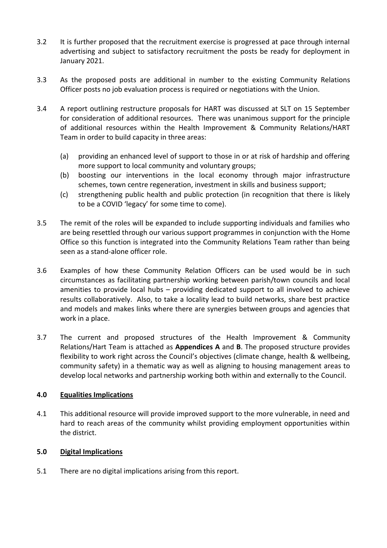- 3.2 It is further proposed that the recruitment exercise is progressed at pace through internal advertising and subject to satisfactory recruitment the posts be ready for deployment in January 2021.
- 3.3 As the proposed posts are additional in number to the existing Community Relations Officer posts no job evaluation process is required or negotiations with the Union.
- 3.4 A report outlining restructure proposals for HART was discussed at SLT on 15 September for consideration of additional resources. There was unanimous support for the principle of additional resources within the Health Improvement & Community Relations/HART Team in order to build capacity in three areas:
	- (a) providing an enhanced level of support to those in or at risk of hardship and offering more support to local community and voluntary groups;
	- (b) boosting our interventions in the local economy through major infrastructure schemes, town centre regeneration, investment in skills and business support;
	- (c) strengthening public health and public protection (in recognition that there is likely to be a COVID 'legacy' for some time to come).
- 3.5 The remit of the roles will be expanded to include supporting individuals and families who are being resettled through our various support programmes in conjunction with the Home Office so this function is integrated into the Community Relations Team rather than being seen as a stand-alone officer role.
- 3.6 Examples of how these Community Relation Officers can be used would be in such circumstances as facilitating partnership working between parish/town councils and local amenities to provide local hubs – providing dedicated support to all involved to achieve results collaboratively. Also, to take a locality lead to build networks, share best practice and models and makes links where there are synergies between groups and agencies that work in a place.
- 3.7 The current and proposed structures of the Health Improvement & Community Relations/Hart Team is attached as **Appendices A** and **B**. The proposed structure provides flexibility to work right across the Council's objectives (climate change, health & wellbeing, community safety) in a thematic way as well as aligning to housing management areas to develop local networks and partnership working both within and externally to the Council.

## **4.0 Equalities Implications**

4.1 This additional resource will provide improved support to the more vulnerable, in need and hard to reach areas of the community whilst providing employment opportunities within the district.

## **5.0 Digital Implications**

5.1 There are no digital implications arising from this report.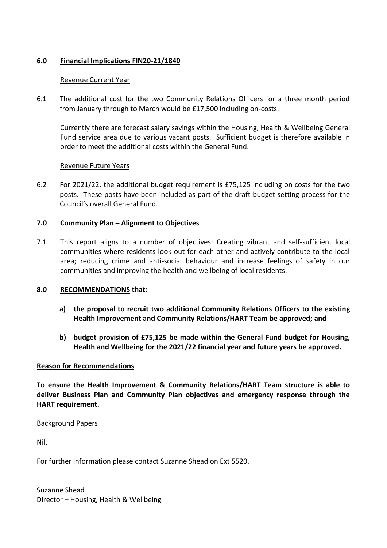## **6.0 Financial Implications FIN20-21/1840**

## Revenue Current Year

6.1 The additional cost for the two Community Relations Officers for a three month period from January through to March would be £17,500 including on-costs.

Currently there are forecast salary savings within the Housing, Health & Wellbeing General Fund service area due to various vacant posts. Sufficient budget is therefore available in order to meet the additional costs within the General Fund.

## Revenue Future Years

6.2 For 2021/22, the additional budget requirement is £75,125 including on costs for the two posts. These posts have been included as part of the draft budget setting process for the Council's overall General Fund.

## **7.0 Community Plan – Alignment to Objectives**

7.1 This report aligns to a number of objectives: Creating vibrant and self-sufficient local communities where residents look out for each other and actively contribute to the local area; reducing crime and anti-social behaviour and increase feelings of safety in our communities and improving the health and wellbeing of local residents.

#### **8.0 RECOMMENDATIONS that:**

- **a) the proposal to recruit two additional Community Relations Officers to the existing Health Improvement and Community Relations/HART Team be approved; and**
- **b) budget provision of £75,125 be made within the General Fund budget for Housing, Health and Wellbeing for the 2021/22 financial year and future years be approved.**

#### **Reason for Recommendations**

**To ensure the Health Improvement & Community Relations/HART Team structure is able to deliver Business Plan and Community Plan objectives and emergency response through the HART requirement.**

#### Background Papers

Nil.

For further information please contact Suzanne Shead on Ext 5520.

Suzanne Shead Director – Housing, Health & Wellbeing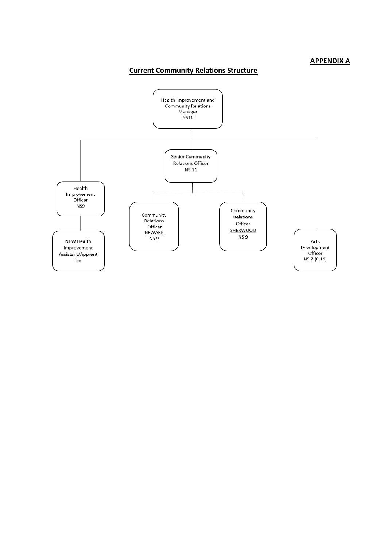#### **APPENDIX A**

# **Current Community Relations Structure**